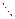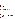# **Technical Factsheet on: CHROMIUM**

[List of Contaminants](http://www.epa.gov/safewater/hfacts.html) 

 As part of the Drinking Water and Health pages, this fact sheet is part of a larger publication: **National Primary Drinking Water Regulations** 

## **Drinking Water Standards**

 MCL: 0.1 mg/l HAL(child): 1- to 10-day: 1 mg/L; Longer-term: 0.2 mg/L Note: These standards are based on the total concentration of the trivalent and hexavalent forms of MCLG: 0.1 mg/l dissolved chromium (Cr3+ and Cr 6+).

# **Health Effects Summary**

 levels above the MCL: skin irritation or ulceration. Acute: EPA has found chromium to potentially cause the following health effects from acute exposures at

 consuming 1 liter of water per day, a one- to ten-day exposure to 1 mg/L; a longer-term (7 years) Drinking water levels which are considered "safe" for short-term exposures: For a 10-kg (22 lb.) child exposure to 0.2 mg/L.

 levels above the MCL: damage to liver, kidney circulatory and nerve tissues; dermatitis. Chronic: Chromium has the potential to cause the following health effects from long-term exposures at

 lifetime exposures in drinking water. Cancer: There is no evidence that chromium in drinking water has the potential to cause cancer from

### **Usage Patterns**

 synthesis, photochemical processing and industrial water treatment. In medicine, chromium compounds yeasts in brewery processing water and brewery warmer water. Chromium and its compounds are used in metal alloys such as stainless steel; protective coatings on metal; magnetic tapes; and pigments for paints, cement, paper, rubber, composition floor covering and other materials. Other uses include: chemical intermediate for wood preservatives, organic chemical are used in astringents and antiseptics. They also are used in cooling waters, and in the leather tanning industry, in catalytic manufacture, and in fungicides; as an algaecide against slime forming bacteria and

 Chromic acid consumption patterns in 1988: wood preserving, 63%; metal finishing, 22%; other, including water treatment, magnetic particles and catalysts, 7%; exports, 8%. Demand: 1987: 57,500 tons; 1988: 62,500 tons; 1992 (projected): 78,800 tons.

 (projected): 180,000 tons Sodium Bichromate consumption patterns in 1988: chromic acid, 54%; leather tanning, 9%; chromium oxide, 9%; pigments, 8%; wood preservation, 5%; other, including drilling muds, catalysts, water treatment, metal finishing, 5%; exports, 10%. Demand: 1987: 150,000 tons; 1988: 164,000 tons; 1992

### **Release Patterns**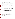Chromium occurs in nature mostly as chrome iron ore, or chromite. Though widely distributed in soils and plants, it is rare in natural waters. The two largest sources of chromium emission in the atmosphere are from the chemical manufacturing industry and combustion of natural gas, oil, and coal.

 when discharged into surface waters, and solid wastes from chemical manufacture. Other sources include wind transport from road dust, cement producing plants because cement contains chromium, the wearing down of asbestos brake linings from automobiles or similar sources of wind carried asbestos since asbestos contains chromium, incineration of municipal refuse and sewage sludge, exhaust emission from automotive catalytic converters, emissions from cooling towers that use chromium compounds as rust inhibitors, waste waters from electroplating, leather tanning, and textile industries

 and water totalled nearly 200 million pounds, of which about 99 percent was to land. These releases were primarily from industrial organic chemical industries which use chromium as an intermediate. The largest From 1987 to 1993, according to the Toxics Release Inventory, chromium compound releases to land releases occurred in Texas and North Carolina. The largest direct releases to water occurred in Georgia and Pennsylvania.

 Background levels in water average 1 ug/L while municipal drinking water contain 0.1-35 ug/L. The higher values of chromium can be related to sources of anthropogenic pollution. In ocean water, the mean chromium concentration is lower than in river water, and its value is 0.3 ug/l, with a range of 0.2 to 50 ug/l.

 reported chromium concentrations in this study may be a little higher than the actual values due to A survey of 3834 tap waters reported the concentrations of chromium to range from 0.4 to 8.0 ug/l. The inadequate flushing of tap water before collection of samples. This indicates that the concentration of chromium in household tap water may increase due to plumbing materials.

### **Environmental Fate**

 Chromium is not likely to migrate to ground water. A field trial on the application of wastewater treatment 10 cm, but most of the metal (mean 87%) remained in the upper 5 cm of soil. Uptake by plants is generally low; it was found to be greater from ultrabasic soils by a factor of 5-40 than on calcareous or sludge to soils found movement of heavy metals, including chromium, from the soil surface to a depth of silica-based soils.

 Chromium compounds are very persistent in water. Most of the chromium in surface waters may be present in particulate form as sediment. Some of the particulate chromium would remain as suspended matter and ultimately be deposited in sediments.

The exact chemical forms of chromium in surface waters are not well defined. Although most of the soluble chromium in surface waters may be present as Cr(VI), a small amount may be present as Cr(III) organic complexes. Hexavalent chromium is the major stable form of chromium in seawater; however, Cr(VI) may be reduced to Cr(III) by organic matter present in water, and may eventually deposit in sediments.

Though little data is available, there is a high potential for bioconcentration of chromium in aquatic organisms. Snails showed an accumulation factor of 1x10+6.

### **Chemical/Physical Properties**

CAS Number: 7440-47-3

Color/ Form/Odor: Chromium is metal found in nature only in the combined state.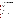Soil sorption coefficient: N/A; Low mobility

Soil sorption coefficient: N/A; Low mobility<br>Bioconcentration Factor: BCF in plants, 1000; in snails, 1,000,000; expected to accumulate in aquatic organisms.

Common Ores: oxide- Iron chromite

Solubilities:

 chromate- 873 g/L at 30 deg C (sodium salt) chromate oxide- insoluble dioxide- insoluble oxide- insoluble sulfate- insoluble chloride- soluble in cold water chromate- 0.2 mg/L (lead salt) dichromate- 2380 g/L at 0 deg C (sodium salt) trioxide- 617 g/L at 0 deg C

# **Other Regulatory Information**

Monitoring:

-- For Ground Water Sources:

Initial Frequency-1 sample once every 3 years

Repeat Frequency-If no detections for 3 rounds, once every 9 years

-- For Surface Water Sources:

Initial Frequency-1 sample annually

Repeat Frequency-If no detections for 3 rounds, once every 9 years

-- Triggers - If detect at > 0.1 mg/L, sample quarterly.

#### **Analysis**

NTIS PB 91-231498 200.7 EPA 600/4-79-020 218.2<br>NTIS PB 91-231498 200.7 Standard Methods 3113B; 3120

**Analysis**<br>Reference Source Method Number **Reference Source Method Number** 

 Softening (for CrIII only) **Treatment/Best Available Technologies:** Coagulation/Filtration; Ion Exchange, Reverse Osmosis, Lime

 **Toxic Release Inventory - Releases to Water and Land, 1987 to 1993 (in pounds):** 

| <b>TOTALS</b>    | Water     |            | Land        |
|------------------|-----------|------------|-------------|
| Top Ten States * | 2,876,055 |            | 196,880,624 |
| TX               | 102.079   | 64.301.920 |             |
| NC.              | 43.522    | 55.217.044 |             |